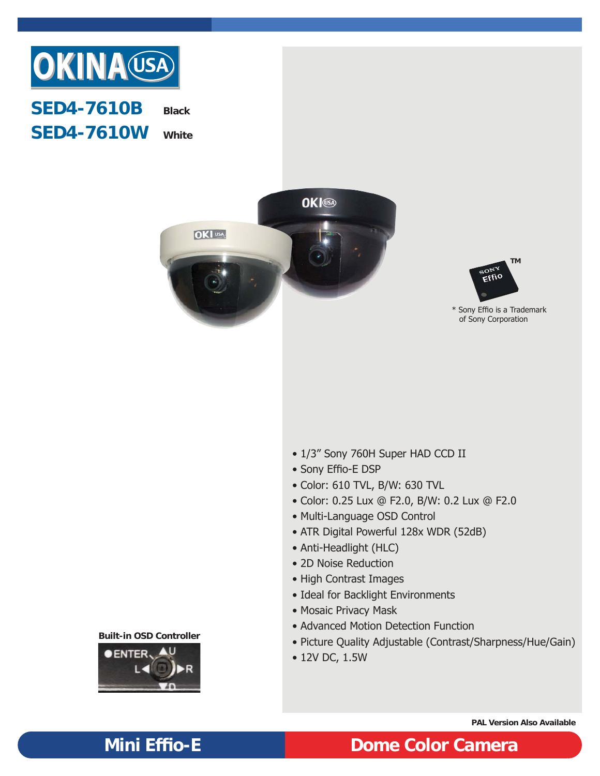

## **SED4-7610B SED4-7610W Black White**





\* Sony Effio is a Trademark of Sony Corporation

- 1/3" Sony 760H Super HAD CCD II
- Sony Effio-E DSP
- Color: 610 TVL, B/W: 630 TVL
- Color: 0.25 Lux @ F2.0, B/W: 0.2 Lux @ F2.0
- Multi-Language OSD Control
- ATR Digital Powerful 128x WDR (52dB)
- Anti-Headlight (HLC)
- 2D Noise Reduction
- High Contrast Images
- Ideal for Backlight Environments
- Mosaic Privacy Mask
- Advanced Motion Detection Function
- Picture Quality Adjustable (Contrast/Sharpness/Hue/Gain)
- 12V DC, 1.5W

**Built-in OSD Controller**



**PAL Version Also Available**

# **Mini Effio-E Dome Color Camera**